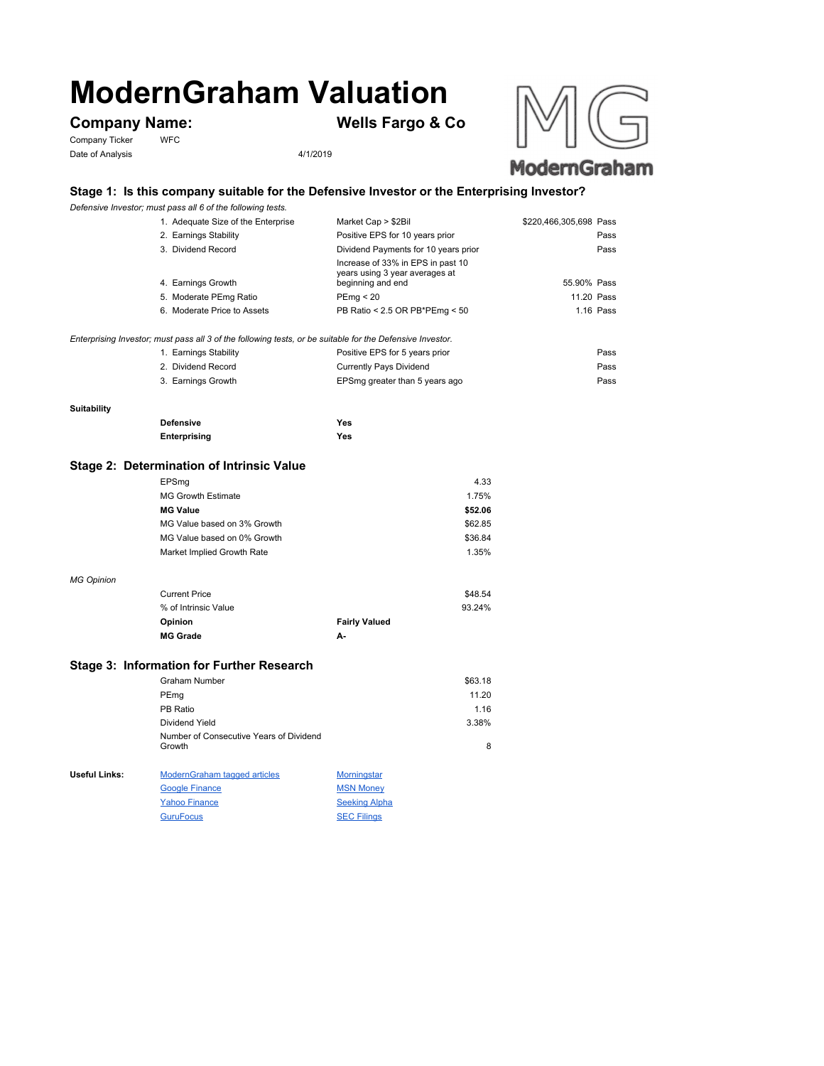# **ModernGraham Valuation**

Company Ticker WFC Date of Analysis 4/1/2019

**Company Name: Wells Fargo & Co**





# **Stage 1: Is this company suitable for the Defensive Investor or the Enterprising Investor?**

*Defensive Investor; must pass all 6 of the following tests.*

| 1. Adequate Size of the Enterprise                                                                        | Market Cap > \$2Bil                                                                      | \$220,466,305,698 Pass |           |
|-----------------------------------------------------------------------------------------------------------|------------------------------------------------------------------------------------------|------------------------|-----------|
| 2. Earnings Stability                                                                                     | Positive EPS for 10 years prior                                                          |                        | Pass      |
| 3. Dividend Record                                                                                        | Dividend Payments for 10 years prior                                                     |                        | Pass      |
| 4. Earnings Growth                                                                                        | Increase of 33% in EPS in past 10<br>years using 3 year averages at<br>beginning and end | 55.90% Pass            |           |
| 5. Moderate PEmg Ratio                                                                                    | PEmg < 20                                                                                | 11.20 Pass             |           |
| 6. Moderate Price to Assets                                                                               | PB Ratio < 2.5 OR PB*PEmg < 50                                                           |                        | 1.16 Pass |
| Enterprising Investor; must pass all 3 of the following tests, or be suitable for the Defensive Investor. |                                                                                          |                        |           |
| 1. Earnings Stability                                                                                     | Positive EPS for 5 years prior                                                           |                        | Pass      |
|                                                                                                           |                                                                                          |                        |           |

| 2. Dividend Record | Currently Pays Dividend        | Pass |
|--------------------|--------------------------------|------|
| 3. Earnings Growth | EPSmg greater than 5 years ago | Pass |

#### **Suitability**

*MG Opinion*

| <b>Defensive</b> | Yes |
|------------------|-----|
| Enterprising     | Yes |

## **Stage 2: Determination of Intrinsic Value**

| EPSmg                       | 4.33                                                                                                                |
|-----------------------------|---------------------------------------------------------------------------------------------------------------------|
| <b>MG Growth Estimate</b>   | 1.75%                                                                                                               |
| <b>MG Value</b>             | \$52.06                                                                                                             |
| MG Value based on 3% Growth | \$62.85                                                                                                             |
| MG Value based on 0% Growth | \$36.84                                                                                                             |
| Market Implied Growth Rate  | 1.35%                                                                                                               |
|                             |                                                                                                                     |
|                             | $\sim$ $\sim$ $\sim$ $\sim$                                                                                         |
|                             | $\bigcap_{i=1}^{n}$ and $\bigcap_{i=1}^{n}$ and $\bigcap_{i=1}^{n}$ and $\bigcap_{i=1}^{n}$ and $\bigcap_{i=1}^{n}$ |

| <b>MG Grade</b>      | А-                   |         |
|----------------------|----------------------|---------|
| <b>Opinion</b>       | <b>Fairly Valued</b> |         |
| % of Intrinsic Value |                      | 93.24%  |
| <b>Current Price</b> |                      | \$48.54 |

### **Stage 3: Information for Further Research**

|               | Graham Number                                     |                    | \$63.18 |
|---------------|---------------------------------------------------|--------------------|---------|
|               | PEmg                                              |                    | 11.20   |
|               | PB Ratio                                          |                    | 1.16    |
|               | Dividend Yield                                    |                    | 3.38%   |
|               | Number of Consecutive Years of Dividend<br>Growth |                    | 8       |
| Useful Links: | <b>ModernGraham tagged articles</b>               | <b>Morningstar</b> |         |
|               | <b>Google Finance</b>                             | <b>MSN Money</b>   |         |
|               |                                                   |                    |         |

Yahoo Finance Seeking Alpha GuruFocus SEC Filings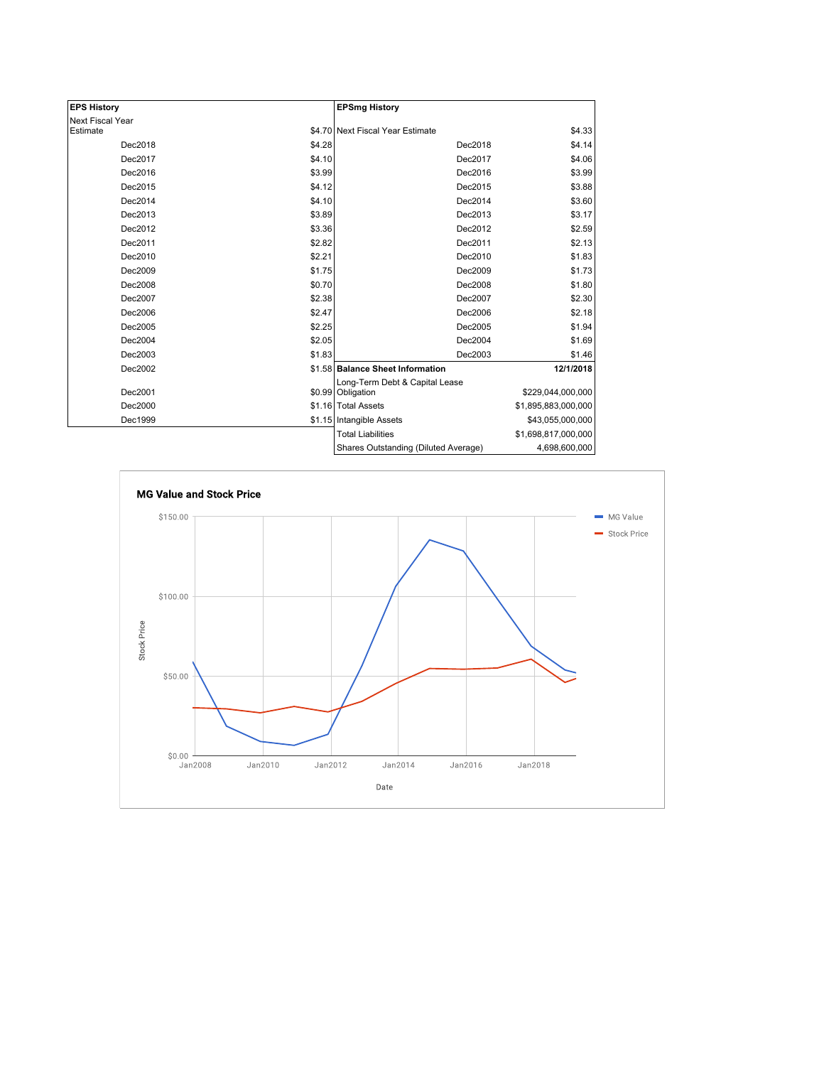| <b>EPS History</b> |        | <b>EPSmg History</b>                 |                     |
|--------------------|--------|--------------------------------------|---------------------|
| Next Fiscal Year   |        |                                      |                     |
| Estimate           |        | \$4.70 Next Fiscal Year Estimate     | \$4.33              |
| Dec2018            | \$4.28 | Dec2018                              | \$4.14              |
| Dec2017            | \$4.10 | Dec2017                              | \$4.06              |
| Dec2016            | \$3.99 | Dec2016                              | \$3.99              |
| Dec2015            | \$4.12 | Dec2015                              | \$3.88              |
| Dec2014            | \$4.10 | Dec2014                              | \$3.60              |
| Dec2013            | \$3.89 | Dec2013                              | \$3.17              |
| Dec2012            | \$3.36 | Dec2012                              | \$2.59              |
| Dec2011            | \$2.82 | Dec2011                              | \$2.13              |
| Dec2010            | \$2.21 | Dec2010                              | \$1.83              |
| Dec2009            | \$1.75 | Dec2009                              | \$1.73              |
| Dec2008            | \$0.70 | Dec2008                              | \$1.80              |
| Dec2007            | \$2.38 | Dec2007                              | \$2.30              |
| Dec2006            | \$2.47 | Dec2006                              | \$2.18              |
| Dec2005            | \$2.25 | Dec2005                              | \$1.94              |
| Dec2004            | \$2.05 | Dec2004                              | \$1.69              |
| Dec2003            | \$1.83 | Dec2003                              | \$1.46              |
| Dec2002            |        | \$1.58 Balance Sheet Information     | 12/1/2018           |
|                    |        | Long-Term Debt & Capital Lease       |                     |
| Dec2001            |        | \$0.99 Obligation                    | \$229,044,000,000   |
| Dec2000            |        | \$1.16 Total Assets                  | \$1,895,883,000,000 |
| Dec1999            |        | \$1.15 Intangible Assets             | \$43,055,000,000    |
|                    |        | <b>Total Liabilities</b>             | \$1,698,817,000,000 |
|                    |        | Shares Outstanding (Diluted Average) | 4,698,600,000       |